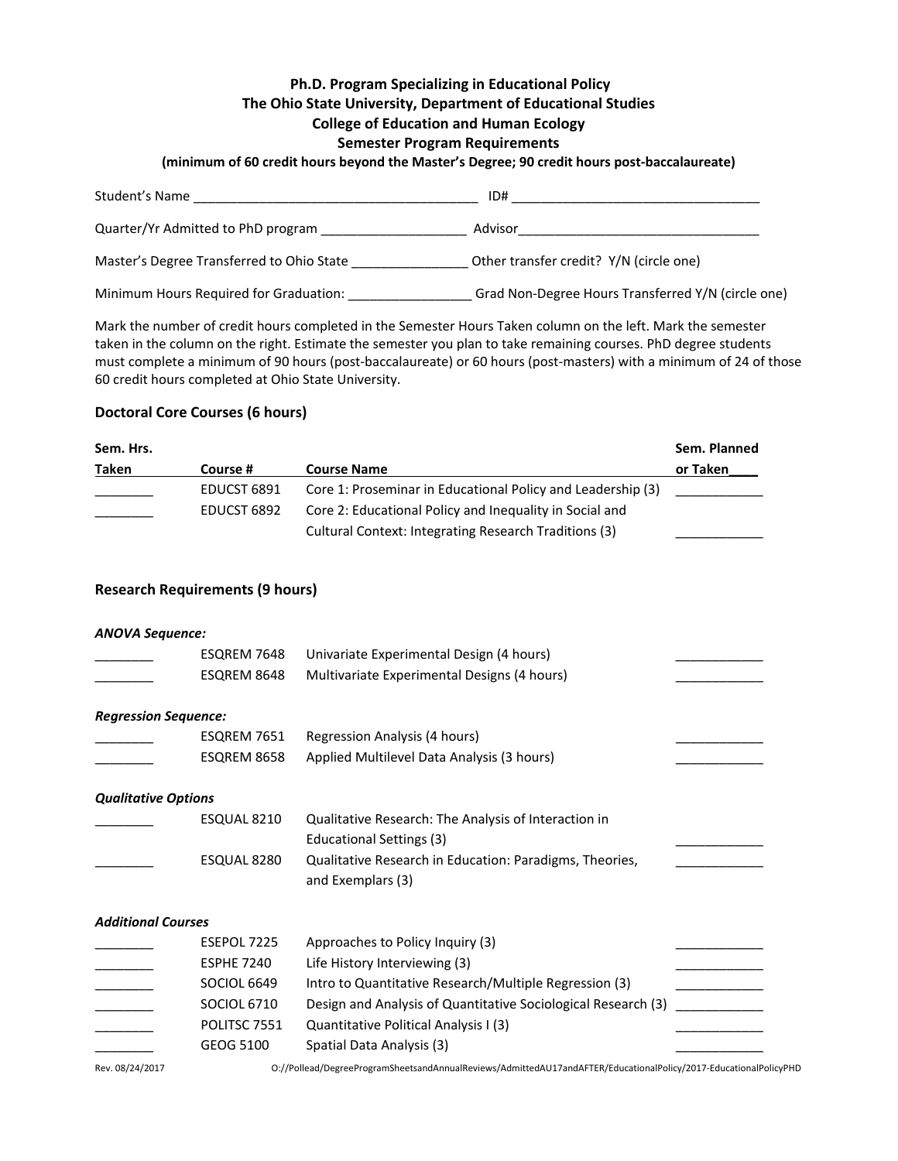## **Ph.D. Program Specializing in Educational Policy The Ohio State University, Department of Educational Studies**

# **College of Education and Human Ecology**

## **Semester Program Requirements**

**(minimum of 60 credit hours beyond the Master's Degree; 90 credit hours post-baccalaureate)**

| Student's Name                            | ID#                                                |
|-------------------------------------------|----------------------------------------------------|
| Quarter/Yr Admitted to PhD program        | Advisor                                            |
| Master's Degree Transferred to Ohio State | Other transfer credit? Y/N (circle one)            |
| Minimum Hours Required for Graduation:    | Grad Non-Degree Hours Transferred Y/N (circle one) |

Mark the number of credit hours completed in the Semester Hours Taken column on the left. Mark the semester taken in the column on the right. Estimate the semester you plan to take remaining courses. PhD degree students must complete a minimum of 90 hours (post-baccalaureate) or 60 hours (post-masters) with a minimum of 24 of those 60 credit hours completed at Ohio State University.

# **Doctoral Core Courses (6 hours)**

| Sem. Hrs. |             |                                                             | Sem. Planned |
|-----------|-------------|-------------------------------------------------------------|--------------|
| Taken     | Course #    | <b>Course Name</b>                                          | or Taken     |
|           | EDUCST 6891 | Core 1: Proseminar in Educational Policy and Leadership (3) |              |
|           | EDUCST 6892 | Core 2: Educational Policy and Inequality in Social and     |              |
|           |             | Cultural Context: Integrating Research Traditions (3)       |              |

## **Research Requirements (9 hours)**

#### *ANOVA Sequence:*

|                             | ESQREM 7648        | Univariate Experimental Design (4 hours)                      |  |
|-----------------------------|--------------------|---------------------------------------------------------------|--|
|                             | ESQREM 8648        | Multivariate Experimental Designs (4 hours)                   |  |
|                             |                    |                                                               |  |
| <b>Regression Sequence:</b> |                    |                                                               |  |
|                             | ESQREM 7651        | Regression Analysis (4 hours)                                 |  |
|                             | ESQREM 8658        | Applied Multilevel Data Analysis (3 hours)                    |  |
| <b>Qualitative Options</b>  |                    |                                                               |  |
|                             | ESQUAL 8210        | Qualitative Research: The Analysis of Interaction in          |  |
|                             |                    | Educational Settings (3)                                      |  |
|                             | ESQUAL 8280        | Qualitative Research in Education: Paradigms, Theories,       |  |
|                             |                    | and Exemplars (3)                                             |  |
| <b>Additional Courses</b>   |                    |                                                               |  |
|                             | ESEPOL 7225        | Approaches to Policy Inquiry (3)                              |  |
|                             | <b>ESPHE 7240</b>  | Life History Interviewing (3)                                 |  |
|                             | <b>SOCIOL 6649</b> | Intro to Quantitative Research/Multiple Regression (3)        |  |
|                             | SOCIOL 6710        | Design and Analysis of Quantitative Sociological Research (3) |  |
|                             | POLITSC 7551       | Quantitative Political Analysis I (3)                         |  |
|                             | GEOG 5100          | Spatial Data Analysis (3)                                     |  |

Rev. 08/24/2017 O://Pollead/DegreeProgramSheetsandAnnualReviews/AdmittedAU17andAFTER/EducationalPolicy/2017-EducationalPolicyPHD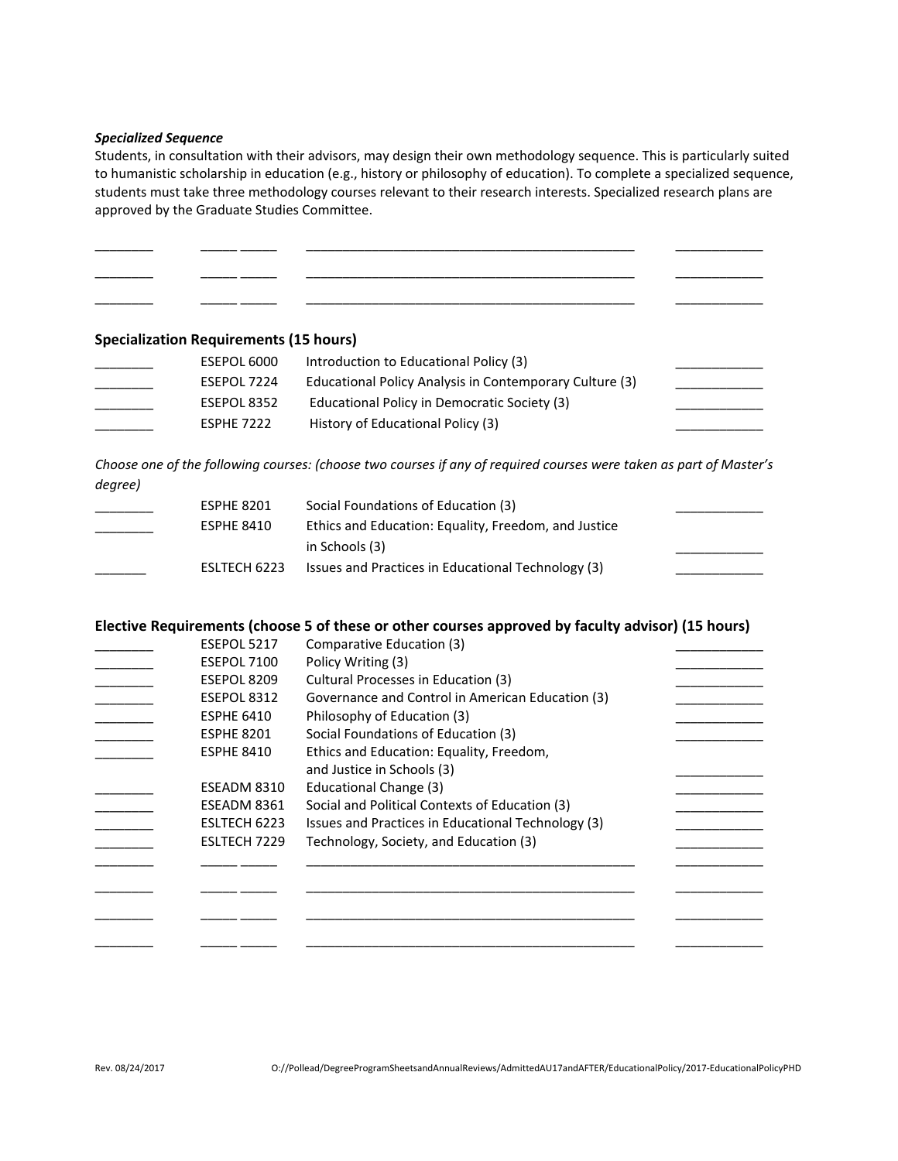#### *Specialized Sequence*

Students, in consultation with their advisors, may design their own methodology sequence. This is particularly suited to humanistic scholarship in education (e.g., history or philosophy of education). To complete a specialized sequence, students must take three methodology courses relevant to their research interests. Specialized research plans are approved by the Graduate Studies Committee.

\_\_\_\_\_\_\_\_ \_\_\_\_\_ \_\_\_\_\_ \_\_\_\_\_\_\_\_\_\_\_\_\_\_\_\_\_\_\_\_\_\_\_\_\_\_\_\_\_\_\_\_\_\_\_\_\_\_\_\_\_\_\_\_\_ \_\_\_\_\_\_\_\_\_\_\_\_ \_\_\_\_\_\_\_\_ \_\_\_\_\_ \_\_\_\_\_ \_\_\_\_\_\_\_\_\_\_\_\_\_\_\_\_\_\_\_\_\_\_\_\_\_\_\_\_\_\_\_\_\_\_\_\_\_\_\_\_\_\_\_\_\_ \_\_\_\_\_\_\_\_\_\_\_\_ \_\_\_\_\_\_\_\_ \_\_\_\_\_ \_\_\_\_\_ \_\_\_\_\_\_\_\_\_\_\_\_\_\_\_\_\_\_\_\_\_\_\_\_\_\_\_\_\_\_\_\_\_\_\_\_\_\_\_\_\_\_\_\_\_ \_\_\_\_\_\_\_\_\_\_\_\_

**Specialization Requirements (15 hours)**

| ESEPOL 6000       | Introduction to Educational Policy (3)                  |  |
|-------------------|---------------------------------------------------------|--|
| ESEPOL 7224       | Educational Policy Analysis in Contemporary Culture (3) |  |
| ESEPOL 8352       | Educational Policy in Democratic Society (3)            |  |
| <b>ESPHE 7222</b> | History of Educational Policy (3)                       |  |

*Choose one of the following courses: (choose two courses if any of required courses were taken as part of Master's degree)*

| <b>ESPHE 8201</b> | Social Foundations of Education (3)                  |  |
|-------------------|------------------------------------------------------|--|
| <b>ESPHE 8410</b> | Ethics and Education: Equality, Freedom, and Justice |  |
|                   | in Schools (3)                                       |  |
| ESLTECH 6223      | Issues and Practices in Educational Technology (3)   |  |

#### **Elective Requirements (choose 5 of these or other courses approved by faculty advisor) (15 hours)**

| ESEPOL 5217       | Comparative Education (3)                          |
|-------------------|----------------------------------------------------|
| ESEPOL 7100       | Policy Writing (3)                                 |
| ESEPOL 8209       | Cultural Processes in Education (3)                |
| ESEPOL 8312       | Governance and Control in American Education (3)   |
| <b>ESPHE 6410</b> | Philosophy of Education (3)                        |
| <b>ESPHE 8201</b> | Social Foundations of Education (3)                |
| <b>ESPHE 8410</b> | Ethics and Education: Equality, Freedom,           |
|                   | and Justice in Schools (3)                         |
| ESEADM 8310       | Educational Change (3)                             |
| ESEADM 8361       | Social and Political Contexts of Education (3)     |
| ESLTECH 6223      | Issues and Practices in Educational Technology (3) |
| ESLTECH 7229      | Technology, Society, and Education (3)             |
|                   |                                                    |
|                   |                                                    |
|                   |                                                    |
|                   |                                                    |
|                   |                                                    |
|                   |                                                    |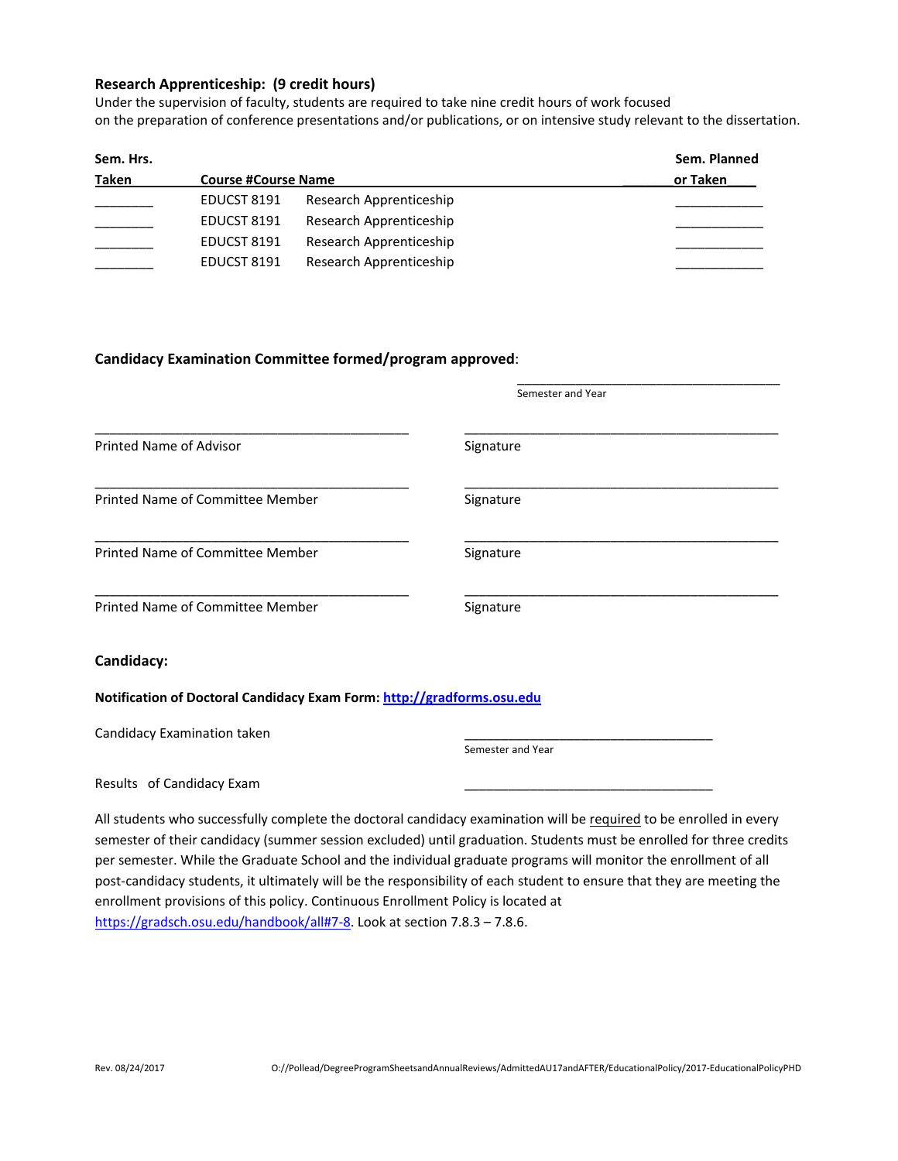### **Research Apprenticeship: (9 credit hours)**

Under the supervision of faculty, students are required to take nine credit hours of work focused on the preparation of conference presentations and/or publications, or on intensive study relevant to the dissertation.

| Sem. Hrs. |                            |                         | Sem. Planned |
|-----------|----------------------------|-------------------------|--------------|
| Taken     | <b>Course #Course Name</b> |                         | or Taken     |
|           | EDUCST 8191                | Research Apprenticeship |              |
|           | EDUCST 8191                | Research Apprenticeship |              |
|           | EDUCST 8191                | Research Apprenticeship |              |
|           | EDUCST 8191                | Research Apprenticeship |              |

## **Candidacy Examination Committee formed/program approved**:

|                                                                        | Semester and Year                                                                                                                                                                                                                        |
|------------------------------------------------------------------------|------------------------------------------------------------------------------------------------------------------------------------------------------------------------------------------------------------------------------------------|
|                                                                        |                                                                                                                                                                                                                                          |
| Printed Name of Advisor                                                | Signature                                                                                                                                                                                                                                |
| Printed Name of Committee Member                                       | Signature                                                                                                                                                                                                                                |
| Printed Name of Committee Member                                       | Signature                                                                                                                                                                                                                                |
| Printed Name of Committee Member                                       | Signature                                                                                                                                                                                                                                |
| Candidacy:                                                             |                                                                                                                                                                                                                                          |
| Notification of Doctoral Candidacy Exam Form: http://gradforms.osu.edu |                                                                                                                                                                                                                                          |
| Candidacy Examination taken                                            | Semester and Year                                                                                                                                                                                                                        |
| Results of Candidacy Exam                                              |                                                                                                                                                                                                                                          |
|                                                                        | All students who successfully complete the doctoral candidacy examination will be required to be enrolled in every<br>semester of their candidacy (summer session excluded) until graduation. Students must be enrolled for three credit |

semester of their candidacy (summer session excluded) until graduation. Students must be enrolled for three credits per semester. While the Graduate School and the individual graduate programs will monitor the enrollment of all post-candidacy students, it ultimately will be the responsibility of each student to ensure that they are meeting the enrollment provisions of this policy. Continuous Enrollment Policy is located at [https://gradsch.osu.edu/handbook/all#7-8.](https://gradsch.osu.edu/handbook/all#7-8) Look at section 7.8.3 – 7.8.6.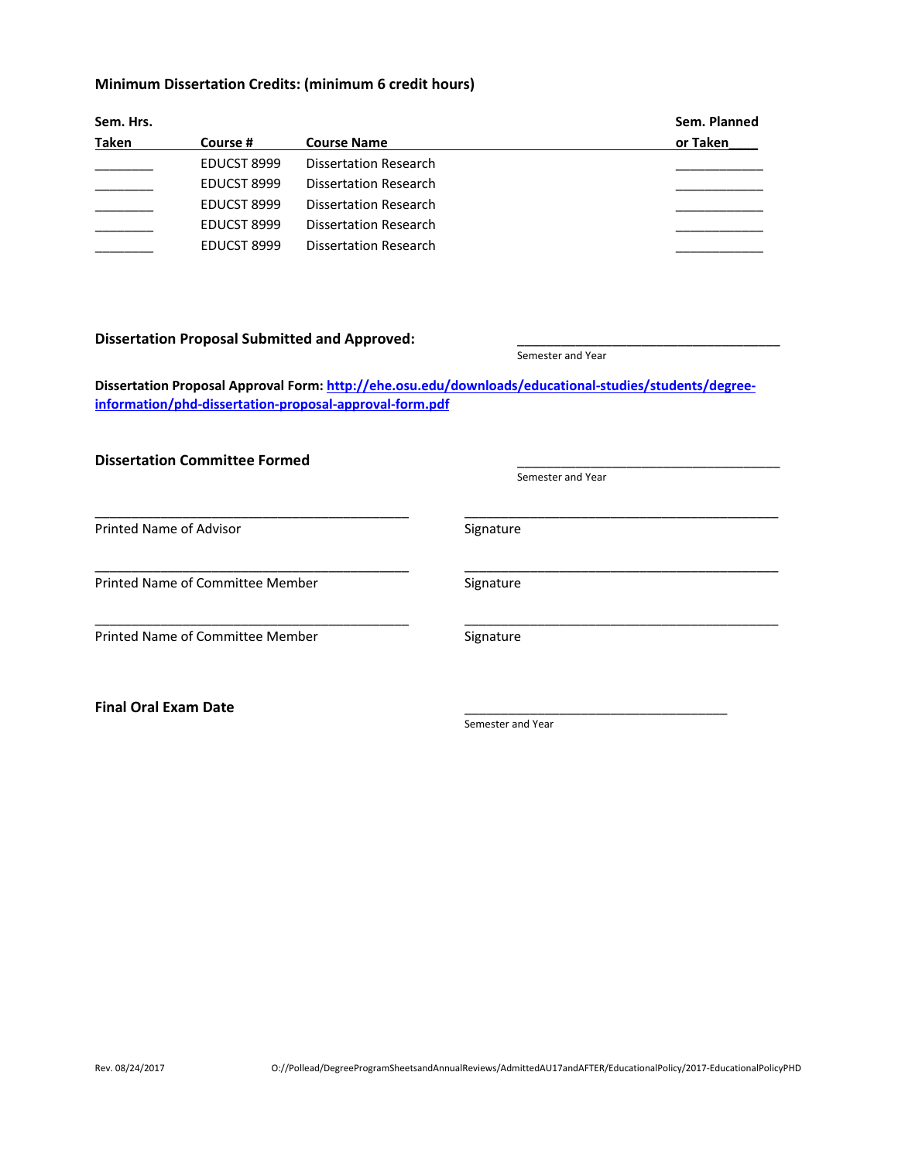# **Minimum Dissertation Credits: (minimum 6 credit hours)**

| Sem. Hrs. |             |                              | Sem. Planned |  |
|-----------|-------------|------------------------------|--------------|--|
| Taken     | Course #    | <b>Course Name</b>           | or Taken     |  |
|           | EDUCST 8999 | <b>Dissertation Research</b> |              |  |
|           | EDUCST 8999 | Dissertation Research        |              |  |
|           | EDUCST 8999 | Dissertation Research        |              |  |
|           | EDUCST 8999 | Dissertation Research        |              |  |
|           | EDUCST 8999 | <b>Dissertation Research</b> |              |  |

### **Dissertation Proposal Submitted and Approved:** \_\_\_\_\_\_\_\_\_\_\_\_\_\_\_\_\_\_\_\_\_\_\_\_\_\_\_\_\_\_\_\_\_\_\_\_

Semester and Year

**Dissertation Proposal Approval Form: [http://ehe.osu.edu/downloads/educational-studies/students/degree](http://ehe.osu.edu/downloads/educational-studies/students/degree-information/phd-dissertation-proposal-approval-form.pdf)[information/phd-dissertation-proposal-approval-form.pdf](http://ehe.osu.edu/downloads/educational-studies/students/degree-information/phd-dissertation-proposal-approval-form.pdf)**

| <b>Dissertation Committee Formed</b> |                   |  |
|--------------------------------------|-------------------|--|
|                                      | Semester and Year |  |
| <b>Printed Name of Advisor</b>       | Signature         |  |
| Printed Name of Committee Member     | Signature         |  |
| Printed Name of Committee Member     | Signature         |  |
| <b>Final Oral Exam Date</b>          | Semester and Year |  |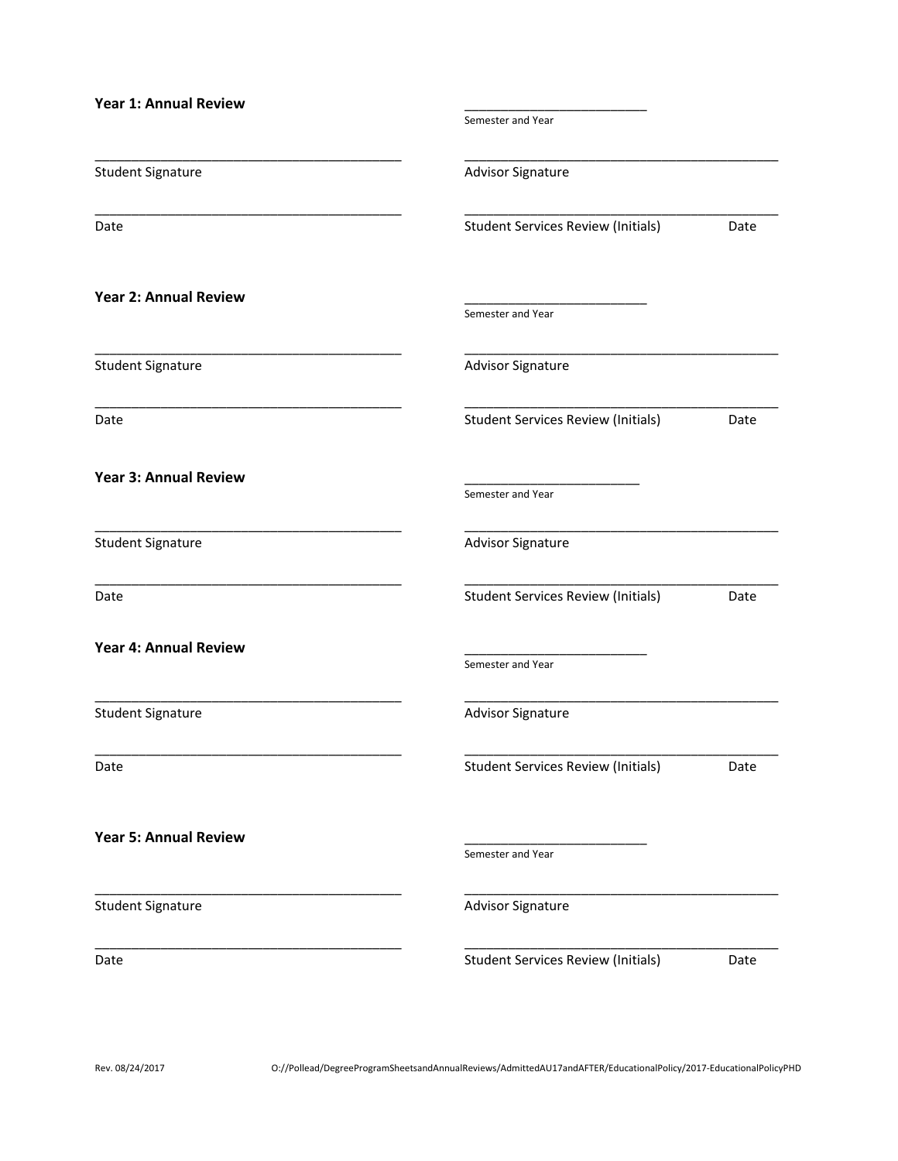| <b>Year 1: Annual Review</b> |                                           |      |
|------------------------------|-------------------------------------------|------|
|                              | Semester and Year                         |      |
| <b>Student Signature</b>     | <b>Advisor Signature</b>                  |      |
| Date                         | <b>Student Services Review (Initials)</b> | Date |
| <b>Year 2: Annual Review</b> | Semester and Year                         |      |
| <b>Student Signature</b>     | <b>Advisor Signature</b>                  |      |
| Date                         | <b>Student Services Review (Initials)</b> | Date |
| <b>Year 3: Annual Review</b> | Semester and Year                         |      |
| <b>Student Signature</b>     | <b>Advisor Signature</b>                  |      |
| Date                         | <b>Student Services Review (Initials)</b> | Date |
| <b>Year 4: Annual Review</b> | Semester and Year                         |      |
| <b>Student Signature</b>     | <b>Advisor Signature</b>                  |      |
| Date                         | <b>Student Services Review (Initials)</b> | Date |
| <b>Year 5: Annual Review</b> | Semester and Year                         |      |
| <b>Student Signature</b>     | Advisor Signature                         |      |
| Date                         | <b>Student Services Review (Initials)</b> | Date |